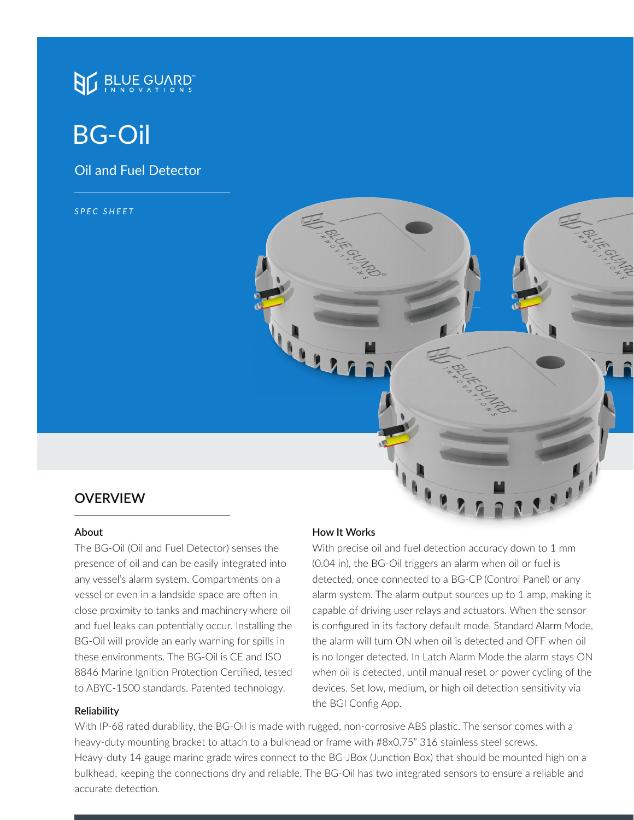

# BG-Oil

Oil and Fuel Detector

*SPEC SHEET*

## **OVERVIEW**

#### **About**

The BG-Oil (Oil and Fuel Detector) senses the presence of oil and can be easily integrated into any vessel's alarm system. Compartments on a vessel or even in a landside space are often in close proximity to tanks and machinery where oil and fuel leaks can potentially occur. Installing the BG-Oil will provide an early warning for spills in these environments. The BG-Oil is CE and ISO 8846 Marine Ignition Protection Certified, tested to ABYC-1500 standards. Patented technology.

#### **How It Works**

With precise oil and fuel detection accuracy down to 1 mm (0.04 in), the BG-Oil triggers an alarm when oil or fuel is detected, once connected to a BG-CP (Control Panel) or any alarm system. The alarm output sources up to 1 amp, making it capable of driving user relays and actuators. When the sensor is configured in its factory default mode, Standard Alarm Mode, the alarm will turn ON when oil is detected and OFF when oil is no longer detected. In Latch Alarm Mode the alarm stays ON when oil is detected, until manual reset or power cycling of the devices. Set low, medium, or high oil detection sensitivity via the BGI Config App. **Reliability**

With IP-68 rated durability, the BG-Oil is made with rugged, non-corrosive ABS plastic. The sensor comes with a heavy-duty mounting bracket to attach to a bulkhead or frame with #8x0.75" 316 stainless steel screws. Heavy-duty 14 gauge marine grade wires connect to the BG-JBox (Junction Box) that should be mounted high on a bulkhead, keeping the connections dry and reliable. The BG-Oil has two integrated sensors to ensure a reliable and accurate detection.